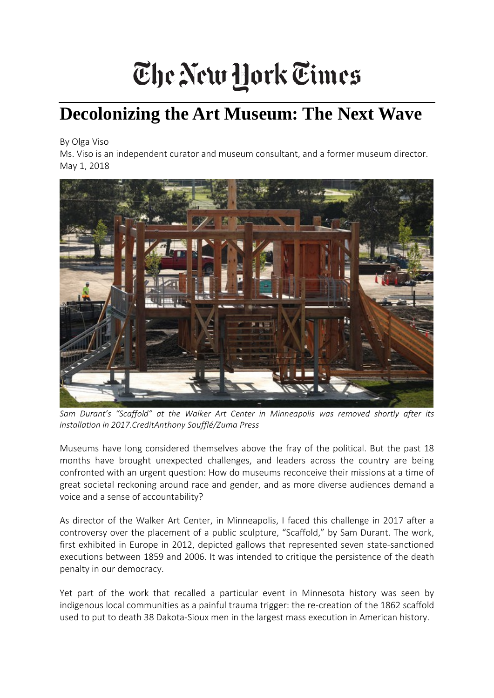## The New York Times

## **Decolonizing the Art Museum: The Next Wave**

By Olga Viso

Ms. Viso is an independent curator and museum consultant, and a former museum director. May 1, 2018



*Sam Durant's "Scaffold" at the Walker Art Center in Minneapolis was removed shortly after its installation in 2017.CreditAnthony Soufflé/Zuma Press*

Museums have long considered themselves above the fray of the political. But the past 18 months have brought unexpected challenges, and leaders across the country are being confronted with an urgent question: How do museums reconceive their missions at a time of great societal reckoning around race and gender, and as more diverse audiences demand a voice and a sense of accountability?

As director of the Walker Art Center, in Minneapolis, I faced this challenge in 2017 after a controversy over the placement of a public sculpture, "Scaffold," by Sam Durant. The work, first exhibited in Europe in 2012, depicted gallows that represented seven state-sanctioned executions between 1859 and 2006. It was intended to critique the persistence of the death penalty in our democracy.

Yet part of the work that recalled a particular event in Minnesota history was seen by indigenous local communities as a painful trauma trigger: the re-creation of the 1862 scaffold used to put to death 38 Dakota-Sioux men in the largest mass execution in American history.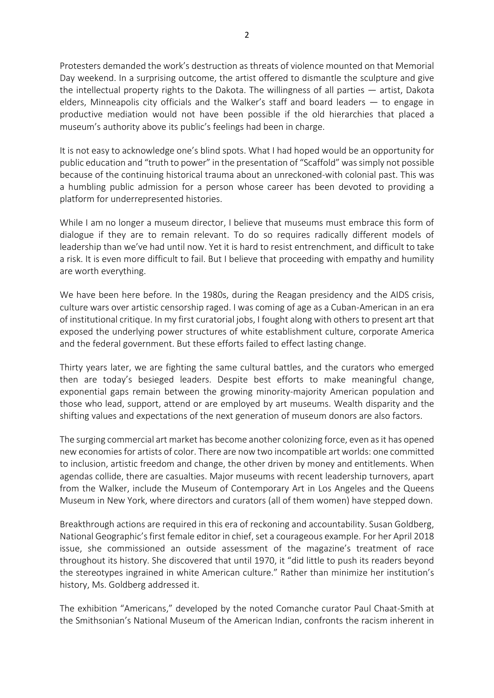Protesters demanded the work's destruction as threats of violence mounted on that Memorial Day weekend. In a surprising outcome, the artist offered to dismantle the sculpture and give the intellectual property rights to the Dakota. The willingness of all parties — artist, Dakota elders, Minneapolis city officials and the Walker's staff and board leaders — to engage in productive mediation would not have been possible if the old hierarchies that placed a museum's authority above its public's feelings had been in charge.

It is not easy to acknowledge one's blind spots. What I had hoped would be an opportunity for public education and "truth to power" in the presentation of "Scaffold" was simply not possible because of the continuing historical trauma about an unreckoned-with colonial past. This was a humbling public admission for a person whose career has been devoted to providing a platform for underrepresented histories.

While I am no longer a museum director, I believe that museums must embrace this form of dialogue if they are to remain relevant. To do so requires radically different models of leadership than we've had until now. Yet it is hard to resist entrenchment, and difficult to take a risk. It is even more difficult to fail. But I believe that proceeding with empathy and humility are worth everything.

We have been here before. In the 1980s, during the Reagan presidency and the AIDS crisis, culture wars over artistic censorship raged. I was coming of age as a Cuban-American in an era of institutional critique. In my first curatorial jobs, I fought along with others to present art that exposed the underlying power structures of white establishment culture, corporate America and the federal government. But these efforts failed to effect lasting change.

Thirty years later, we are fighting the same cultural battles, and the curators who emerged then are today's besieged leaders. Despite best efforts to make meaningful change, exponential gaps remain between the growing minority-majority American population and those who lead, support, attend or are employed by art museums. Wealth disparity and the shifting values and expectations of the next generation of museum donors are also factors.

The surging commercial art market has become another colonizing force, even as it has opened new economies for artists of color. There are now two incompatible art worlds: one committed to inclusion, artistic freedom and change, the other driven by money and entitlements. When agendas collide, there are casualties. Major museums with recent leadership turnovers, apart from the Walker, include the Museum of Contemporary Art in Los Angeles and the Queens Museum in New York, where directors and curators (all of them women) have stepped down.

Breakthrough actions are required in this era of reckoning and accountability. Susan Goldberg, National Geographic's first female editor in chief, set a courageous example. For her April 2018 issue, she commissioned an outside assessment of the magazine's treatment of race throughout its history. She discovered that until 1970, it "did little to push its readers beyond the stereotypes ingrained in white American culture." Rather than minimize her institution's history, Ms. Goldberg addressed it.

The exhibition "Americans," developed by the noted Comanche curator Paul Chaat-Smith at the Smithsonian's National Museum of the American Indian, confronts the racism inherent in